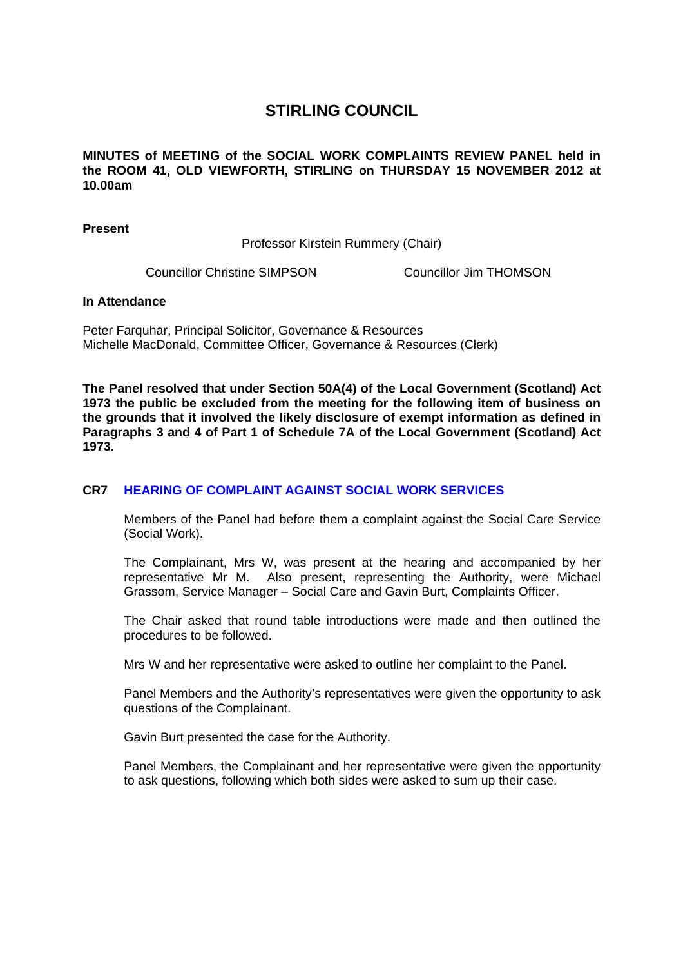## **STIRLING COUNCIL**

**MINUTES of MEETING of the SOCIAL WORK COMPLAINTS REVIEW PANEL held in the ROOM 41, OLD VIEWFORTH, STIRLING on THURSDAY 15 NOVEMBER 2012 at 10.00am** 

**Present** 

Professor Kirstein Rummery (Chair)

Councillor Christine SIMPSON Councillor Jim THOMSON

## **In Attendance**

Peter Farquhar, Principal Solicitor, Governance & Resources Michelle MacDonald, Committee Officer, Governance & Resources (Clerk)

**The Panel resolved that under Section 50A(4) of the Local Government (Scotland) Act 1973 the public be excluded from the meeting for the following item of business on the grounds that it involved the likely disclosure of exempt information as defined in Paragraphs 3 and 4 of Part 1 of Schedule 7A of the Local Government (Scotland) Act 1973.** 

## **CR7 [HEARING OF COMPLAINT AGAINST SOCIAL WORK SERVICES](/forms/request.htm)**

Members of the Panel had before them a complaint against the Social Care Service (Social Work).

The Complainant, Mrs W, was present at the hearing and accompanied by her representative Mr M. Also present, representing the Authority, were Michael Grassom, Service Manager – Social Care and Gavin Burt, Complaints Officer.

The Chair asked that round table introductions were made and then outlined the procedures to be followed.

Mrs W and her representative were asked to outline her complaint to the Panel.

Panel Members and the Authority's representatives were given the opportunity to ask questions of the Complainant.

Gavin Burt presented the case for the Authority.

Panel Members, the Complainant and her representative were given the opportunity to ask questions, following which both sides were asked to sum up their case.